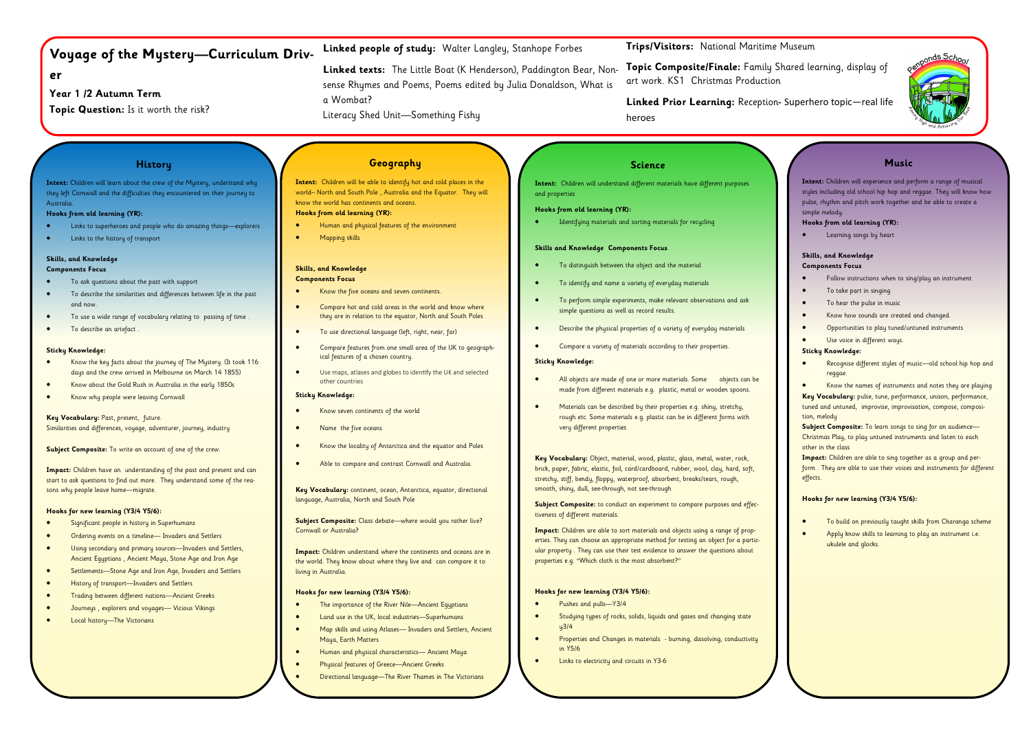# **Voyage of the Mystery—Curriculum Driv-**

## **er**

**Year 1 /2 Autumn Term**

**Topic Question:** Is it worth the risk?

**History**

**Intent:** Children will learn about the crew of the Mystery, understand why they left Cornwall and the difficulties they encountered on their journey to

Australia.

**Hooks from old learning (YR):**

• Links to superheroes and people who do amazing things—explorers

• Links to the history of transport

**Skills, and Knowledge Components Focus**

• To ask questions about the past with support

- 
- 

**Key Vocabulary: Past, present, future.** Similarities and differences, voyage, adventurer, journey, industry

**Subject Composite:** To write an account of one of the crew.

• To describe the similarities and differences between life in the past

and now.

- To use a wide range of vocabulary relating to passing of time .
- To describe an artefact .

start to ask questions to find out more. They understand some of the reasons why people leave home—migrate.

#### **Sticky Knowledge:**

- days and the crew arrived in Melbourne on March 14 1855)
- 
- 
- Know the key facts about the journey of The Mystery. (It took 116
- Know about the Gold Rush in Australia in the early 1850s
- Know why people were leaving Cornwall

**Impact:** Children have an understanding of the past and present and can



### **Hooks for new learning (Y3/4 Y5/6):**

- Significant people in history in Superhumans
- Ordering events on a timeline— Invaders and Settlers
- Using secondary and primary sources—Invaders and Settlers, Ancient Egyptians , Ancient Maya, Stone Age and Iron Age
- Settlements—Stone Age and Iron Age, Invaders and Settlers
- History of transport—Invaders and Settlers
- Trading between different nations—Ancient Greeks
- Journeys , explorers and voyages— Vicious Vikings
- Local history—The Victorians

**Trips/Visitors:** National Maritime Museum

**Topic Composite/Finale:** Family Shared learning, display of art work. KS1 Christmas Production

**Linked Prior Learning:** Reception**-** Superhero topic—real life heroes

## **Linked people of study:** Walter Langley, Stanhope Forbes

- To distinguish between the object and the material
- To identify and name a variety of everyday materials
- To perform simple experiments, make relevant observations and ask simple questions as well as record results.
- Describe the physical properties of a variety of everyday materials
- Compare a variety of materials according to their properties.

**Linked texts:** The Little Boat (K Henderson), Paddington Bear, Nonsense Rhymes and Poems, Poems edited by Julia Donaldson, What is a Wombat?

Literacy Shed Unit—Something Fishy

## **Geography**

**Intent:** Children will be able to identify hot and cold places in the world– North and South Pole , Australia and the Equator. They will know the world has continents and oceans. **Hooks from old learning (YR):**

- Human and physical features of the environment
- Mapping skills

## **Skills, and Knowledge**

## **Components Focus**

- Know the five oceans and seven continents.
- Compare hot and cold areas in the world and know where they are in relation to the equator, North and South Poles
- To use directional language (left, right, near, far)
- Compare features from one small area of the UK to geographical features of a chosen country.
- Use maps, atlases and globes to identify the UK and selected other countries

### **Sticky Knowledge:**

- Know seven continents of the world
- Name the five oceans
- Know the locality of Antarctica and the equator and Poles
- Able to compare and contrast Cornwall and Australia

**Key Vocabulary:** continent, ocean, Antarctica, equator, directional language, Australia, North and South Pole

**Subject Composite:** Class debate—where would you rather live? Cornwall or Australia?

**Impact:** Children understand where the continents and oceans are in the world. They know about where they live and can compare it to living in Australia.

### **Hooks for new learning (Y3/4 Y5/6):**

- The importance of the River Nile—Ancient Egyptians
- Land use in the UK, local industries—Superhumans
- Map skills and using Atlases— Invaders and Settlers, Ancient Maya, Earth Matters
- Human and physical characteristics— Ancient Maya
- Physical features of Greece—Ancient Greeks
- Directional language—The River Thames in The Victorians

## **Science**

**Intent:** Children will understand different materials have different purposes and properties

#### **Hooks from old learning (YR):**

Identifying materials and sorting materials for recycling

#### **Skills and Knowledge Components Focus**

#### **Sticky Knowledge:**

- All objects are made of one or more materials. Some objects can be made from different materials e.g. plastic, metal or wooden spoons.
- Materials can be described by their properties e.g. shiny, stretchy, rough etc. Some materials e.g. plastic can be in different forms with very different properties

**Key Vocabulary:** Object, material, wood, plastic, glass, metal, water, rock, brick, paper, fabric, elastic, foil, card/cardboard, rubber, wool, clay, hard, soft, stretchy, stiff, bendy, floppy, waterproof, absorbent, breaks/tears, rough, smooth, shiny, dull, see-through, not see-through

**Subject Composite:** to conduct an experiment to compare purposes and effectiveness of different materials.

**Impact:** Children are able to sort materials and objects using a range of properties. They can choose an appropriate method for testing an object for a particular property . They can use their test evidence to answer the questions about properties e.g. "Which cloth is the most absorbent?"

### **Hooks for new learning (Y3/4 Y5/6):**

- Pushes and pulls—Y3/4
- Studying types of rocks, solids, liquids and gases and changing state  $u<sup>3</sup>/4$
- Properties and Changes in materials burning, dissolving, conductivity in Y5/6
- Links to electricity and circuits in Y3-6

| Intent: Children will experience and perform a range of musical<br>styles including old school hip hop and reggae. They will know how<br>pulse, rhythm and pitch work together and be able to create a<br>simple melody.<br>Hooks from old learning (YR):<br>Learning songs by heart<br>Skills, and Knowledge<br><b>Components Focus</b><br>Follow instructions when to sing/play an instrument<br>To take part in singing<br>To hear the pulse in music<br>Know how sounds are created and changed. |
|------------------------------------------------------------------------------------------------------------------------------------------------------------------------------------------------------------------------------------------------------------------------------------------------------------------------------------------------------------------------------------------------------------------------------------------------------------------------------------------------------|
|                                                                                                                                                                                                                                                                                                                                                                                                                                                                                                      |
|                                                                                                                                                                                                                                                                                                                                                                                                                                                                                                      |
|                                                                                                                                                                                                                                                                                                                                                                                                                                                                                                      |
|                                                                                                                                                                                                                                                                                                                                                                                                                                                                                                      |
|                                                                                                                                                                                                                                                                                                                                                                                                                                                                                                      |
|                                                                                                                                                                                                                                                                                                                                                                                                                                                                                                      |
|                                                                                                                                                                                                                                                                                                                                                                                                                                                                                                      |
|                                                                                                                                                                                                                                                                                                                                                                                                                                                                                                      |
|                                                                                                                                                                                                                                                                                                                                                                                                                                                                                                      |
|                                                                                                                                                                                                                                                                                                                                                                                                                                                                                                      |
| Opportunities to play tuned/untuned instruments                                                                                                                                                                                                                                                                                                                                                                                                                                                      |
| Use voice in different ways.                                                                                                                                                                                                                                                                                                                                                                                                                                                                         |
| <b>Sticky Knowledge:</b>                                                                                                                                                                                                                                                                                                                                                                                                                                                                             |
| Recognise different styles of music-old school hip hop and<br>reggae.                                                                                                                                                                                                                                                                                                                                                                                                                                |
| Know the names of instruments and notes they are playing                                                                                                                                                                                                                                                                                                                                                                                                                                             |
| Key Vocabulary: pulse, tune, performance, unison, performance,<br>tuned and untuned, improvise, improvisation, compose, composi-<br>tion, melody                                                                                                                                                                                                                                                                                                                                                     |
| Subject Composite: To learn songs to sing for an audience-<br>Christmas Play, to play untuned instruments and listen to each<br>other in the class                                                                                                                                                                                                                                                                                                                                                   |
| Impact: Children are able to sing together as a group and per-<br>form. They are able to use their voices and instruments for different                                                                                                                                                                                                                                                                                                                                                              |
| Hooks for new learning (Y3/4 Y5/6):                                                                                                                                                                                                                                                                                                                                                                                                                                                                  |
| To build on previously taught skills from Charanga scheme                                                                                                                                                                                                                                                                                                                                                                                                                                            |
| Apply know skills to learning to play an instrument i.e.<br>ukulele and glocks.                                                                                                                                                                                                                                                                                                                                                                                                                      |
|                                                                                                                                                                                                                                                                                                                                                                                                                                                                                                      |
|                                                                                                                                                                                                                                                                                                                                                                                                                                                                                                      |